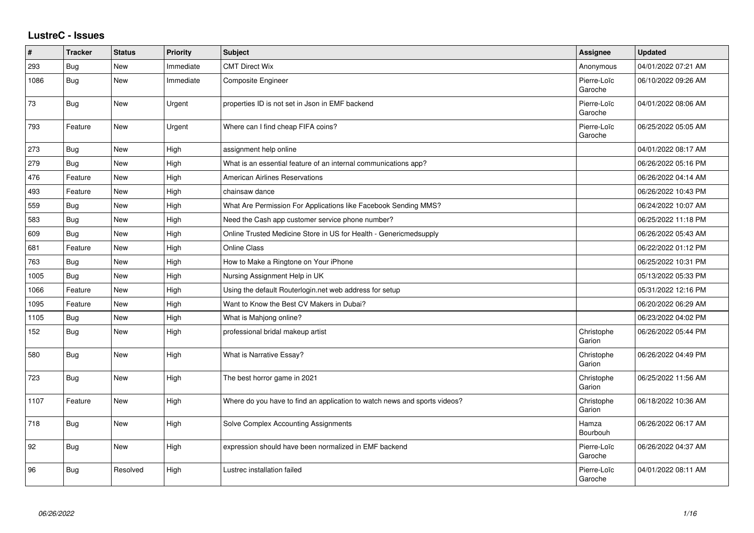## **LustreC - Issues**

| $\sharp$ | <b>Tracker</b> | <b>Status</b> | <b>Priority</b> | <b>Subject</b>                                                            | <b>Assignee</b>        | <b>Updated</b>      |
|----------|----------------|---------------|-----------------|---------------------------------------------------------------------------|------------------------|---------------------|
| 293      | Bug            | New           | Immediate       | <b>CMT Direct Wix</b>                                                     | Anonymous              | 04/01/2022 07:21 AM |
| 1086     | Bug            | New           | Immediate       | <b>Composite Engineer</b>                                                 | Pierre-Loïc<br>Garoche | 06/10/2022 09:26 AM |
| 73       | Bug            | <b>New</b>    | Urgent          | properties ID is not set in Json in EMF backend                           | Pierre-Loïc<br>Garoche | 04/01/2022 08:06 AM |
| 793      | Feature        | New           | Urgent          | Where can I find cheap FIFA coins?                                        | Pierre-Loïc<br>Garoche | 06/25/2022 05:05 AM |
| 273      | <b>Bug</b>     | New           | High            | assignment help online                                                    |                        | 04/01/2022 08:17 AM |
| 279      | Bug            | <b>New</b>    | High            | What is an essential feature of an internal communications app?           |                        | 06/26/2022 05:16 PM |
| 476      | Feature        | New           | High            | <b>American Airlines Reservations</b>                                     |                        | 06/26/2022 04:14 AM |
| 493      | Feature        | <b>New</b>    | High            | chainsaw dance                                                            |                        | 06/26/2022 10:43 PM |
| 559      | <b>Bug</b>     | New           | High            | What Are Permission For Applications like Facebook Sending MMS?           |                        | 06/24/2022 10:07 AM |
| 583      | <b>Bug</b>     | New           | High            | Need the Cash app customer service phone number?                          |                        | 06/25/2022 11:18 PM |
| 609      | <b>Bug</b>     | New           | High            | Online Trusted Medicine Store in US for Health - Genericmedsupply         |                        | 06/26/2022 05:43 AM |
| 681      | Feature        | New           | High            | <b>Online Class</b>                                                       |                        | 06/22/2022 01:12 PM |
| 763      | <b>Bug</b>     | <b>New</b>    | High            | How to Make a Ringtone on Your iPhone                                     |                        | 06/25/2022 10:31 PM |
| 1005     | <b>Bug</b>     | New           | High            | Nursing Assignment Help in UK                                             |                        | 05/13/2022 05:33 PM |
| 1066     | Feature        | New           | High            | Using the default Routerlogin.net web address for setup                   |                        | 05/31/2022 12:16 PM |
| 1095     | Feature        | New           | High            | Want to Know the Best CV Makers in Dubai?                                 |                        | 06/20/2022 06:29 AM |
| 1105     | Bug            | New           | High            | What is Mahjong online?                                                   |                        | 06/23/2022 04:02 PM |
| 152      | Bug            | New           | High            | professional bridal makeup artist                                         | Christophe<br>Garion   | 06/26/2022 05:44 PM |
| 580      | <b>Bug</b>     | New           | High            | What is Narrative Essay?                                                  | Christophe<br>Garion   | 06/26/2022 04:49 PM |
| 723      | Bug            | New           | High            | The best horror game in 2021                                              | Christophe<br>Garion   | 06/25/2022 11:56 AM |
| 1107     | Feature        | New           | High            | Where do you have to find an application to watch news and sports videos? | Christophe<br>Garion   | 06/18/2022 10:36 AM |
| 718      | <b>Bug</b>     | New           | High            | Solve Complex Accounting Assignments                                      | Hamza<br>Bourbouh      | 06/26/2022 06:17 AM |
| 92       | Bug            | <b>New</b>    | High            | expression should have been normalized in EMF backend                     | Pierre-Loïc<br>Garoche | 06/26/2022 04:37 AM |
| 96       | Bug            | Resolved      | High            | Lustrec installation failed                                               | Pierre-Loïc<br>Garoche | 04/01/2022 08:11 AM |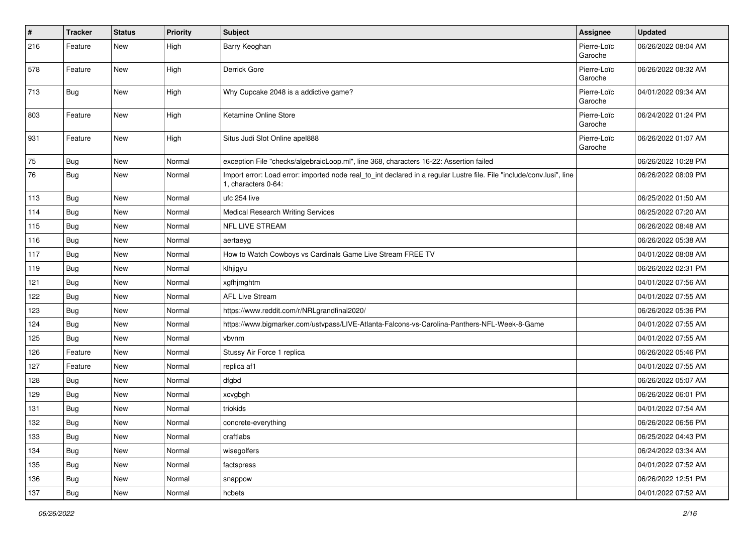| #   | <b>Tracker</b> | <b>Status</b> | <b>Priority</b> | <b>Subject</b>                                                                                                                               | <b>Assignee</b>        | <b>Updated</b>      |
|-----|----------------|---------------|-----------------|----------------------------------------------------------------------------------------------------------------------------------------------|------------------------|---------------------|
| 216 | Feature        | New           | High            | Barry Keoghan                                                                                                                                | Pierre-Loïc<br>Garoche | 06/26/2022 08:04 AM |
| 578 | Feature        | <b>New</b>    | High            | Derrick Gore                                                                                                                                 | Pierre-Loïc<br>Garoche | 06/26/2022 08:32 AM |
| 713 | Bug            | <b>New</b>    | High            | Why Cupcake 2048 is a addictive game?                                                                                                        | Pierre-Loïc<br>Garoche | 04/01/2022 09:34 AM |
| 803 | Feature        | New           | High            | Ketamine Online Store                                                                                                                        | Pierre-Loïc<br>Garoche | 06/24/2022 01:24 PM |
| 931 | Feature        | <b>New</b>    | High            | Situs Judi Slot Online apel888                                                                                                               | Pierre-Loïc<br>Garoche | 06/26/2022 01:07 AM |
| 75  | Bug            | New           | Normal          | exception File "checks/algebraicLoop.ml", line 368, characters 16-22: Assertion failed                                                       |                        | 06/26/2022 10:28 PM |
| 76  | Bug            | New           | Normal          | Import error: Load error: imported node real_to_int declared in a regular Lustre file. File "include/conv.lusi", line<br>1, characters 0-64: |                        | 06/26/2022 08:09 PM |
| 113 | Bug            | <b>New</b>    | Normal          | ufc 254 live                                                                                                                                 |                        | 06/25/2022 01:50 AM |
| 114 | <b>Bug</b>     | New           | Normal          | <b>Medical Research Writing Services</b>                                                                                                     |                        | 06/25/2022 07:20 AM |
| 115 | <b>Bug</b>     | <b>New</b>    | Normal          | NFL LIVE STREAM                                                                                                                              |                        | 06/26/2022 08:48 AM |
| 116 | <b>Bug</b>     | <b>New</b>    | Normal          | aertaeyg                                                                                                                                     |                        | 06/26/2022 05:38 AM |
| 117 | <b>Bug</b>     | New           | Normal          | How to Watch Cowboys vs Cardinals Game Live Stream FREE TV                                                                                   |                        | 04/01/2022 08:08 AM |
| 119 | Bug            | New           | Normal          | klhjigyu                                                                                                                                     |                        | 06/26/2022 02:31 PM |
| 121 | <b>Bug</b>     | <b>New</b>    | Normal          | xgfhjmghtm                                                                                                                                   |                        | 04/01/2022 07:56 AM |
| 122 | <b>Bug</b>     | <b>New</b>    | Normal          | <b>AFL Live Stream</b>                                                                                                                       |                        | 04/01/2022 07:55 AM |
| 123 | <b>Bug</b>     | New           | Normal          | https://www.reddit.com/r/NRLgrandfinal2020/                                                                                                  |                        | 06/26/2022 05:36 PM |
| 124 | <b>Bug</b>     | <b>New</b>    | Normal          | https://www.bigmarker.com/ustvpass/LIVE-Atlanta-Falcons-vs-Carolina-Panthers-NFL-Week-8-Game                                                 |                        | 04/01/2022 07:55 AM |
| 125 | Bug            | New           | Normal          | vbvnm                                                                                                                                        |                        | 04/01/2022 07:55 AM |
| 126 | Feature        | <b>New</b>    | Normal          | Stussy Air Force 1 replica                                                                                                                   |                        | 06/26/2022 05:46 PM |
| 127 | Feature        | <b>New</b>    | Normal          | replica af1                                                                                                                                  |                        | 04/01/2022 07:55 AM |
| 128 | <b>Bug</b>     | New           | Normal          | dfgbd                                                                                                                                        |                        | 06/26/2022 05:07 AM |
| 129 | <b>Bug</b>     | <b>New</b>    | Normal          | xcvgbgh                                                                                                                                      |                        | 06/26/2022 06:01 PM |
| 131 | <b>Bug</b>     | New           | Normal          | triokids                                                                                                                                     |                        | 04/01/2022 07:54 AM |
| 132 | <b>Bug</b>     | New           | Normal          | concrete-everything                                                                                                                          |                        | 06/26/2022 06:56 PM |
| 133 | <b>Bug</b>     | <b>New</b>    | Normal          | craftlabs                                                                                                                                    |                        | 06/25/2022 04:43 PM |
| 134 | <b>Bug</b>     | New           | Normal          | wisegolfers                                                                                                                                  |                        | 06/24/2022 03:34 AM |
| 135 | <b>Bug</b>     | <b>New</b>    | Normal          | factspress                                                                                                                                   |                        | 04/01/2022 07:52 AM |
| 136 | Bug            | New           | Normal          | snappow                                                                                                                                      |                        | 06/26/2022 12:51 PM |
| 137 | Bug            | New           | Normal          | hcbets                                                                                                                                       |                        | 04/01/2022 07:52 AM |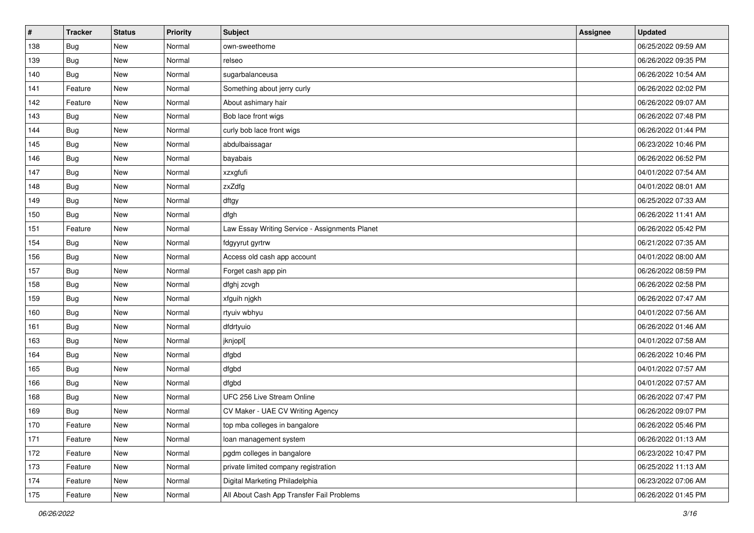| #   | <b>Tracker</b> | <b>Status</b> | Priority | <b>Subject</b>                                 | Assignee | <b>Updated</b>      |
|-----|----------------|---------------|----------|------------------------------------------------|----------|---------------------|
| 138 | <b>Bug</b>     | New           | Normal   | own-sweethome                                  |          | 06/25/2022 09:59 AM |
| 139 | <b>Bug</b>     | New           | Normal   | relseo                                         |          | 06/26/2022 09:35 PM |
| 140 | <b>Bug</b>     | New           | Normal   | sugarbalanceusa                                |          | 06/26/2022 10:54 AM |
| 141 | Feature        | New           | Normal   | Something about jerry curly                    |          | 06/26/2022 02:02 PM |
| 142 | Feature        | New           | Normal   | About ashimary hair                            |          | 06/26/2022 09:07 AM |
| 143 | <b>Bug</b>     | New           | Normal   | Bob lace front wigs                            |          | 06/26/2022 07:48 PM |
| 144 | <b>Bug</b>     | New           | Normal   | curly bob lace front wigs                      |          | 06/26/2022 01:44 PM |
| 145 | <b>Bug</b>     | New           | Normal   | abdulbaissagar                                 |          | 06/23/2022 10:46 PM |
| 146 | <b>Bug</b>     | New           | Normal   | bayabais                                       |          | 06/26/2022 06:52 PM |
| 147 | Bug            | New           | Normal   | xzxgfufi                                       |          | 04/01/2022 07:54 AM |
| 148 | <b>Bug</b>     | New           | Normal   | zxZdfg                                         |          | 04/01/2022 08:01 AM |
| 149 | <b>Bug</b>     | New           | Normal   | dftgy                                          |          | 06/25/2022 07:33 AM |
| 150 | <b>Bug</b>     | New           | Normal   | dfgh                                           |          | 06/26/2022 11:41 AM |
| 151 | Feature        | New           | Normal   | Law Essay Writing Service - Assignments Planet |          | 06/26/2022 05:42 PM |
| 154 | <b>Bug</b>     | New           | Normal   | fdgyyrut gyrtrw                                |          | 06/21/2022 07:35 AM |
| 156 | Bug            | New           | Normal   | Access old cash app account                    |          | 04/01/2022 08:00 AM |
| 157 | <b>Bug</b>     | New           | Normal   | Forget cash app pin                            |          | 06/26/2022 08:59 PM |
| 158 | <b>Bug</b>     | New           | Normal   | dfghj zcvgh                                    |          | 06/26/2022 02:58 PM |
| 159 | <b>Bug</b>     | New           | Normal   | xfguih njgkh                                   |          | 06/26/2022 07:47 AM |
| 160 | <b>Bug</b>     | New           | Normal   | rtyuiv wbhyu                                   |          | 04/01/2022 07:56 AM |
| 161 | <b>Bug</b>     | New           | Normal   | dfdrtyuio                                      |          | 06/26/2022 01:46 AM |
| 163 | <b>Bug</b>     | New           | Normal   | jknjopl[                                       |          | 04/01/2022 07:58 AM |
| 164 | Bug            | New           | Normal   | dfgbd                                          |          | 06/26/2022 10:46 PM |
| 165 | <b>Bug</b>     | New           | Normal   | dfgbd                                          |          | 04/01/2022 07:57 AM |
| 166 | <b>Bug</b>     | New           | Normal   | dfgbd                                          |          | 04/01/2022 07:57 AM |
| 168 | <b>Bug</b>     | New           | Normal   | UFC 256 Live Stream Online                     |          | 06/26/2022 07:47 PM |
| 169 | <b>Bug</b>     | <b>New</b>    | Normal   | CV Maker - UAE CV Writing Agency               |          | 06/26/2022 09:07 PM |
| 170 | Feature        | New           | Normal   | top mba colleges in bangalore                  |          | 06/26/2022 05:46 PM |
| 171 | Feature        | New           | Normal   | loan management system                         |          | 06/26/2022 01:13 AM |
| 172 | Feature        | New           | Normal   | pgdm colleges in bangalore                     |          | 06/23/2022 10:47 PM |
| 173 | Feature        | New           | Normal   | private limited company registration           |          | 06/25/2022 11:13 AM |
| 174 | Feature        | New           | Normal   | Digital Marketing Philadelphia                 |          | 06/23/2022 07:06 AM |
| 175 | Feature        | New           | Normal   | All About Cash App Transfer Fail Problems      |          | 06/26/2022 01:45 PM |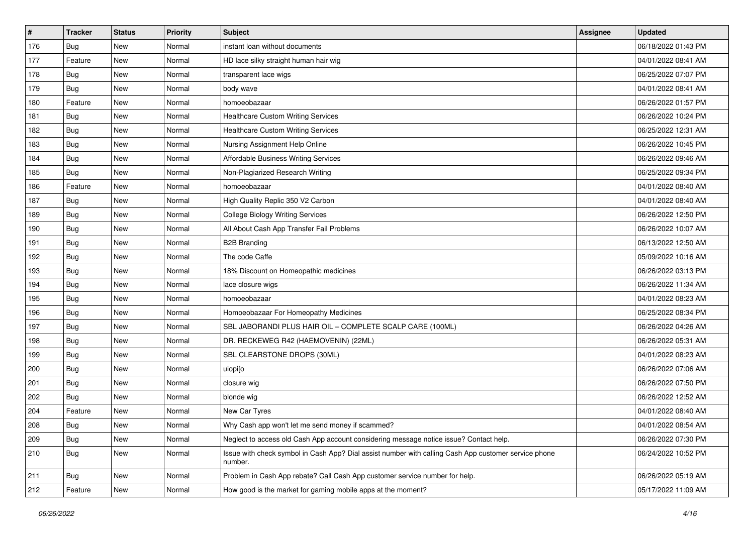| #   | <b>Tracker</b>   | <b>Status</b> | <b>Priority</b> | <b>Subject</b>                                                                                                  | <b>Assignee</b> | <b>Updated</b>      |
|-----|------------------|---------------|-----------------|-----------------------------------------------------------------------------------------------------------------|-----------------|---------------------|
| 176 | <b>Bug</b>       | New           | Normal          | instant loan without documents                                                                                  |                 | 06/18/2022 01:43 PM |
| 177 | Feature          | New           | Normal          | HD lace silky straight human hair wig                                                                           |                 | 04/01/2022 08:41 AM |
| 178 | Bug              | New           | Normal          | transparent lace wigs                                                                                           |                 | 06/25/2022 07:07 PM |
| 179 | <b>Bug</b>       | New           | Normal          | body wave                                                                                                       |                 | 04/01/2022 08:41 AM |
| 180 | Feature          | New           | Normal          | homoeobazaar                                                                                                    |                 | 06/26/2022 01:57 PM |
| 181 | <b>Bug</b>       | New           | Normal          | <b>Healthcare Custom Writing Services</b>                                                                       |                 | 06/26/2022 10:24 PM |
| 182 | Bug              | New           | Normal          | <b>Healthcare Custom Writing Services</b>                                                                       |                 | 06/25/2022 12:31 AM |
| 183 | <b>Bug</b>       | New           | Normal          | Nursing Assignment Help Online                                                                                  |                 | 06/26/2022 10:45 PM |
| 184 | Bug              | New           | Normal          | Affordable Business Writing Services                                                                            |                 | 06/26/2022 09:46 AM |
| 185 | Bug              | New           | Normal          | Non-Plagiarized Research Writing                                                                                |                 | 06/25/2022 09:34 PM |
| 186 | Feature          | New           | Normal          | homoeobazaar                                                                                                    |                 | 04/01/2022 08:40 AM |
| 187 | <b>Bug</b>       | New           | Normal          | High Quality Replic 350 V2 Carbon                                                                               |                 | 04/01/2022 08:40 AM |
| 189 | Bug              | New           | Normal          | <b>College Biology Writing Services</b>                                                                         |                 | 06/26/2022 12:50 PM |
| 190 | <b>Bug</b>       | New           | Normal          | All About Cash App Transfer Fail Problems                                                                       |                 | 06/26/2022 10:07 AM |
| 191 | Bug              | New           | Normal          | <b>B2B Branding</b>                                                                                             |                 | 06/13/2022 12:50 AM |
| 192 | Bug              | New           | Normal          | The code Caffe                                                                                                  |                 | 05/09/2022 10:16 AM |
| 193 | Bug              | New           | Normal          | 18% Discount on Homeopathic medicines                                                                           |                 | 06/26/2022 03:13 PM |
| 194 | Bug              | New           | Normal          | lace closure wigs                                                                                               |                 | 06/26/2022 11:34 AM |
| 195 | <b>Bug</b>       | New           | Normal          | homoeobazaar                                                                                                    |                 | 04/01/2022 08:23 AM |
| 196 | Bug              | New           | Normal          | Homoeobazaar For Homeopathy Medicines                                                                           |                 | 06/25/2022 08:34 PM |
| 197 | <b>Bug</b>       | New           | Normal          | SBL JABORANDI PLUS HAIR OIL - COMPLETE SCALP CARE (100ML)                                                       |                 | 06/26/2022 04:26 AM |
| 198 | Bug              | New           | Normal          | DR. RECKEWEG R42 (HAEMOVENIN) (22ML)                                                                            |                 | 06/26/2022 05:31 AM |
| 199 | Bug              | New           | Normal          | SBL CLEARSTONE DROPS (30ML)                                                                                     |                 | 04/01/2022 08:23 AM |
| 200 | <b>Bug</b>       | New           | Normal          | uiopi[o                                                                                                         |                 | 06/26/2022 07:06 AM |
| 201 | <b>Bug</b>       | New           | Normal          | closure wig                                                                                                     |                 | 06/26/2022 07:50 PM |
| 202 | Bug              | New           | Normal          | blonde wig                                                                                                      |                 | 06/26/2022 12:52 AM |
| 204 | Feature          | New           | Normal          | New Car Tyres                                                                                                   |                 | 04/01/2022 08:40 AM |
| 208 | <sub>i</sub> Bug | New           | Normal          | Why Cash app won't let me send money if scammed?                                                                |                 | 04/01/2022 08:54 AM |
| 209 | Bug              | New           | Normal          | Neglect to access old Cash App account considering message notice issue? Contact help.                          |                 | 06/26/2022 07:30 PM |
| 210 | <b>Bug</b>       | New           | Normal          | Issue with check symbol in Cash App? Dial assist number with calling Cash App customer service phone<br>number. |                 | 06/24/2022 10:52 PM |
| 211 | <b>Bug</b>       | New           | Normal          | Problem in Cash App rebate? Call Cash App customer service number for help.                                     |                 | 06/26/2022 05:19 AM |
| 212 | Feature          | New           | Normal          | How good is the market for gaming mobile apps at the moment?                                                    |                 | 05/17/2022 11:09 AM |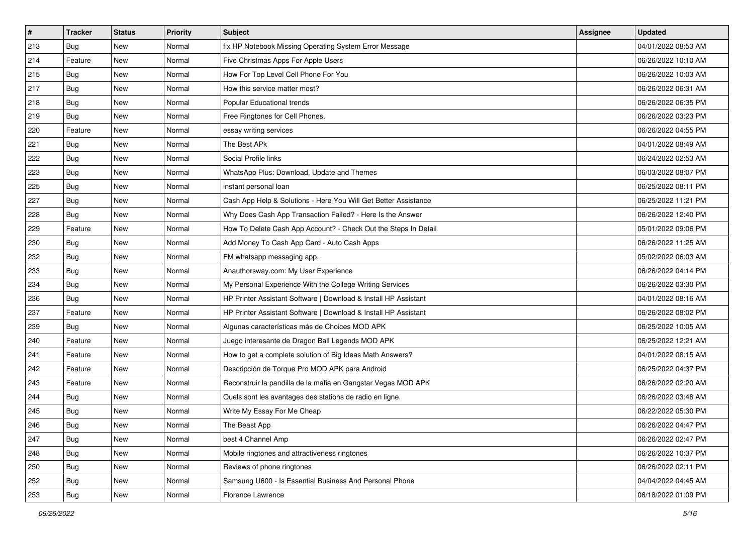| $\pmb{\#}$ | <b>Tracker</b> | <b>Status</b> | <b>Priority</b> | <b>Subject</b>                                                  | <b>Assignee</b> | <b>Updated</b>      |
|------------|----------------|---------------|-----------------|-----------------------------------------------------------------|-----------------|---------------------|
| 213        | Bug            | New           | Normal          | fix HP Notebook Missing Operating System Error Message          |                 | 04/01/2022 08:53 AM |
| 214        | Feature        | <b>New</b>    | Normal          | Five Christmas Apps For Apple Users                             |                 | 06/26/2022 10:10 AM |
| 215        | <b>Bug</b>     | New           | Normal          | How For Top Level Cell Phone For You                            |                 | 06/26/2022 10:03 AM |
| 217        | Bug            | <b>New</b>    | Normal          | How this service matter most?                                   |                 | 06/26/2022 06:31 AM |
| 218        | Bug            | <b>New</b>    | Normal          | Popular Educational trends                                      |                 | 06/26/2022 06:35 PM |
| 219        | <b>Bug</b>     | New           | Normal          | Free Ringtones for Cell Phones.                                 |                 | 06/26/2022 03:23 PM |
| 220        | Feature        | New           | Normal          | essay writing services                                          |                 | 06/26/2022 04:55 PM |
| 221        | Bug            | New           | Normal          | The Best APk                                                    |                 | 04/01/2022 08:49 AM |
| 222        | Bug            | New           | Normal          | Social Profile links                                            |                 | 06/24/2022 02:53 AM |
| 223        | Bug            | <b>New</b>    | Normal          | WhatsApp Plus: Download, Update and Themes                      |                 | 06/03/2022 08:07 PM |
| 225        | <b>Bug</b>     | New           | Normal          | instant personal loan                                           |                 | 06/25/2022 08:11 PM |
| 227        | Bug            | New           | Normal          | Cash App Help & Solutions - Here You Will Get Better Assistance |                 | 06/25/2022 11:21 PM |
| 228        | <b>Bug</b>     | <b>New</b>    | Normal          | Why Does Cash App Transaction Failed? - Here Is the Answer      |                 | 06/26/2022 12:40 PM |
| 229        | Feature        | New           | Normal          | How To Delete Cash App Account? - Check Out the Steps In Detail |                 | 05/01/2022 09:06 PM |
| 230        | Bug            | <b>New</b>    | Normal          | Add Money To Cash App Card - Auto Cash Apps                     |                 | 06/26/2022 11:25 AM |
| 232        | <b>Bug</b>     | New           | Normal          | FM whatsapp messaging app.                                      |                 | 05/02/2022 06:03 AM |
| 233        | Bug            | <b>New</b>    | Normal          | Anauthorsway.com: My User Experience                            |                 | 06/26/2022 04:14 PM |
| 234        | <b>Bug</b>     | <b>New</b>    | Normal          | My Personal Experience With the College Writing Services        |                 | 06/26/2022 03:30 PM |
| 236        | Bug            | New           | Normal          | HP Printer Assistant Software   Download & Install HP Assistant |                 | 04/01/2022 08:16 AM |
| 237        | Feature        | New           | Normal          | HP Printer Assistant Software   Download & Install HP Assistant |                 | 06/26/2022 08:02 PM |
| 239        | Bug            | New           | Normal          | Algunas características más de Choices MOD APK                  |                 | 06/25/2022 10:05 AM |
| 240        | Feature        | <b>New</b>    | Normal          | Juego interesante de Dragon Ball Legends MOD APK                |                 | 06/25/2022 12:21 AM |
| 241        | Feature        | <b>New</b>    | Normal          | How to get a complete solution of Big Ideas Math Answers?       |                 | 04/01/2022 08:15 AM |
| 242        | Feature        | New           | Normal          | Descripción de Torque Pro MOD APK para Android                  |                 | 06/25/2022 04:37 PM |
| 243        | Feature        | New           | Normal          | Reconstruir la pandilla de la mafia en Gangstar Vegas MOD APK   |                 | 06/26/2022 02:20 AM |
| 244        | Bug            | New           | Normal          | Quels sont les avantages des stations de radio en ligne.        |                 | 06/26/2022 03:48 AM |
| 245        | Bug            | New           | Normal          | Write My Essay For Me Cheap                                     |                 | 06/22/2022 05:30 PM |
| 246        | <b>Bug</b>     | New           | Normal          | The Beast App                                                   |                 | 06/26/2022 04:47 PM |
| 247        | <b>Bug</b>     | New           | Normal          | best 4 Channel Amp                                              |                 | 06/26/2022 02:47 PM |
| 248        | Bug            | New           | Normal          | Mobile ringtones and attractiveness ringtones                   |                 | 06/26/2022 10:37 PM |
| 250        | <b>Bug</b>     | New           | Normal          | Reviews of phone ringtones                                      |                 | 06/26/2022 02:11 PM |
| 252        | Bug            | New           | Normal          | Samsung U600 - Is Essential Business And Personal Phone         |                 | 04/04/2022 04:45 AM |
| 253        | <b>Bug</b>     | New           | Normal          | Florence Lawrence                                               |                 | 06/18/2022 01:09 PM |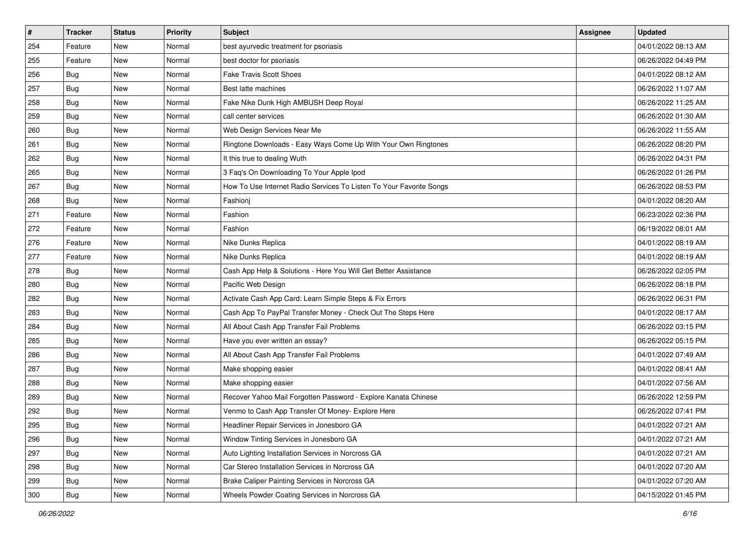| $\pmb{\#}$ | <b>Tracker</b> | <b>Status</b> | <b>Priority</b> | <b>Subject</b>                                                      | <b>Assignee</b> | <b>Updated</b>      |
|------------|----------------|---------------|-----------------|---------------------------------------------------------------------|-----------------|---------------------|
| 254        | Feature        | New           | Normal          | best ayurvedic treatment for psoriasis                              |                 | 04/01/2022 08:13 AM |
| 255        | Feature        | <b>New</b>    | Normal          | best doctor for psoriasis                                           |                 | 06/26/2022 04:49 PM |
| 256        | <b>Bug</b>     | New           | Normal          | <b>Fake Travis Scott Shoes</b>                                      |                 | 04/01/2022 08:12 AM |
| 257        | Bug            | <b>New</b>    | Normal          | Best latte machines                                                 |                 | 06/26/2022 11:07 AM |
| 258        | <b>Bug</b>     | <b>New</b>    | Normal          | Fake Nike Dunk High AMBUSH Deep Royal                               |                 | 06/26/2022 11:25 AM |
| 259        | Bug            | <b>New</b>    | Normal          | call center services                                                |                 | 06/26/2022 01:30 AM |
| 260        | Bug            | <b>New</b>    | Normal          | Web Design Services Near Me                                         |                 | 06/26/2022 11:55 AM |
| 261        | Bug            | New           | Normal          | Ringtone Downloads - Easy Ways Come Up With Your Own Ringtones      |                 | 06/26/2022 08:20 PM |
| 262        | Bug            | <b>New</b>    | Normal          | It this true to dealing Wuth                                        |                 | 06/26/2022 04:31 PM |
| 265        | Bug            | <b>New</b>    | Normal          | 3 Faq's On Downloading To Your Apple Ipod                           |                 | 06/26/2022 01:26 PM |
| 267        | Bug            | New           | Normal          | How To Use Internet Radio Services To Listen To Your Favorite Songs |                 | 06/26/2022 08:53 PM |
| 268        | Bug            | <b>New</b>    | Normal          | Fashioni                                                            |                 | 04/01/2022 08:20 AM |
| 271        | Feature        | <b>New</b>    | Normal          | Fashion                                                             |                 | 06/23/2022 02:36 PM |
| 272        | Feature        | <b>New</b>    | Normal          | Fashion                                                             |                 | 06/19/2022 08:01 AM |
| 276        | Feature        | <b>New</b>    | Normal          | Nike Dunks Replica                                                  |                 | 04/01/2022 08:19 AM |
| 277        | Feature        | New           | Normal          | Nike Dunks Replica                                                  |                 | 04/01/2022 08:19 AM |
| 278        | Bug            | <b>New</b>    | Normal          | Cash App Help & Solutions - Here You Will Get Better Assistance     |                 | 06/26/2022 02:05 PM |
| 280        | Bug            | <b>New</b>    | Normal          | Pacific Web Design                                                  |                 | 06/26/2022 08:18 PM |
| 282        | Bug            | New           | Normal          | Activate Cash App Card: Learn Simple Steps & Fix Errors             |                 | 06/26/2022 06:31 PM |
| 283        | <b>Bug</b>     | <b>New</b>    | Normal          | Cash App To PayPal Transfer Money - Check Out The Steps Here        |                 | 04/01/2022 08:17 AM |
| 284        | Bug            | New           | Normal          | All About Cash App Transfer Fail Problems                           |                 | 06/26/2022 03:15 PM |
| 285        | Bug            | <b>New</b>    | Normal          | Have you ever written an essay?                                     |                 | 06/26/2022 05:15 PM |
| 286        | Bug            | New           | Normal          | All About Cash App Transfer Fail Problems                           |                 | 04/01/2022 07:49 AM |
| 287        | Bug            | New           | Normal          | Make shopping easier                                                |                 | 04/01/2022 08:41 AM |
| 288        | Bug            | <b>New</b>    | Normal          | Make shopping easier                                                |                 | 04/01/2022 07:56 AM |
| 289        | Bug            | <b>New</b>    | Normal          | Recover Yahoo Mail Forgotten Password - Explore Kanata Chinese      |                 | 06/26/2022 12:59 PM |
| 292        | Bug            | New           | Normal          | Venmo to Cash App Transfer Of Money- Explore Here                   |                 | 06/26/2022 07:41 PM |
| 295        | I Bug          | New           | Normal          | Headliner Repair Services in Jonesboro GA                           |                 | 04/01/2022 07:21 AM |
| 296        | <b>Bug</b>     | New           | Normal          | Window Tinting Services in Jonesboro GA                             |                 | 04/01/2022 07:21 AM |
| 297        | <b>Bug</b>     | New           | Normal          | Auto Lighting Installation Services in Norcross GA                  |                 | 04/01/2022 07:21 AM |
| 298        | <b>Bug</b>     | New           | Normal          | Car Stereo Installation Services in Norcross GA                     |                 | 04/01/2022 07:20 AM |
| 299        | Bug            | New           | Normal          | Brake Caliper Painting Services in Norcross GA                      |                 | 04/01/2022 07:20 AM |
| 300        | <b>Bug</b>     | New           | Normal          | Wheels Powder Coating Services in Norcross GA                       |                 | 04/15/2022 01:45 PM |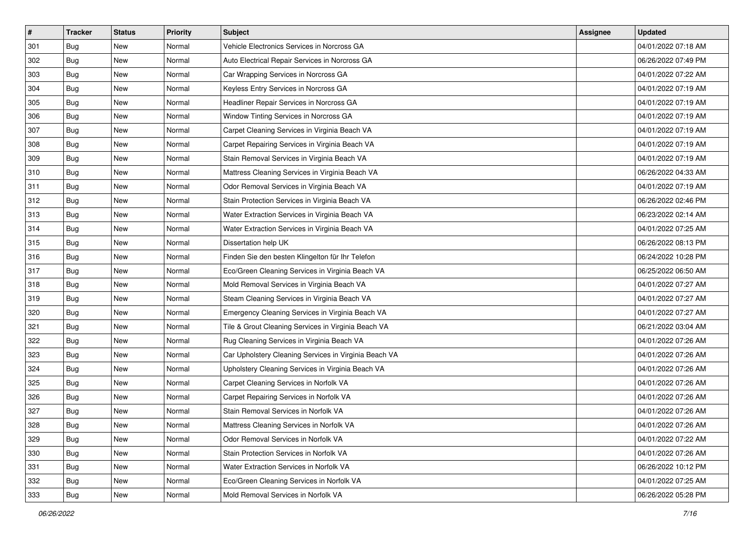| $\pmb{\#}$ | <b>Tracker</b> | <b>Status</b> | <b>Priority</b> | Subject                                               | <b>Assignee</b> | <b>Updated</b>      |
|------------|----------------|---------------|-----------------|-------------------------------------------------------|-----------------|---------------------|
| 301        | Bug            | New           | Normal          | Vehicle Electronics Services in Norcross GA           |                 | 04/01/2022 07:18 AM |
| 302        | Bug            | New           | Normal          | Auto Electrical Repair Services in Norcross GA        |                 | 06/26/2022 07:49 PM |
| 303        | <b>Bug</b>     | New           | Normal          | Car Wrapping Services in Norcross GA                  |                 | 04/01/2022 07:22 AM |
| 304        | Bug            | New           | Normal          | Keyless Entry Services in Norcross GA                 |                 | 04/01/2022 07:19 AM |
| 305        | Bug            | <b>New</b>    | Normal          | Headliner Repair Services in Norcross GA              |                 | 04/01/2022 07:19 AM |
| 306        | Bug            | New           | Normal          | Window Tinting Services in Norcross GA                |                 | 04/01/2022 07:19 AM |
| 307        | Bug            | New           | Normal          | Carpet Cleaning Services in Virginia Beach VA         |                 | 04/01/2022 07:19 AM |
| 308        | Bug            | New           | Normal          | Carpet Repairing Services in Virginia Beach VA        |                 | 04/01/2022 07:19 AM |
| 309        | Bug            | New           | Normal          | Stain Removal Services in Virginia Beach VA           |                 | 04/01/2022 07:19 AM |
| 310        | Bug            | New           | Normal          | Mattress Cleaning Services in Virginia Beach VA       |                 | 06/26/2022 04:33 AM |
| 311        | Bug            | New           | Normal          | Odor Removal Services in Virginia Beach VA            |                 | 04/01/2022 07:19 AM |
| 312        | Bug            | New           | Normal          | Stain Protection Services in Virginia Beach VA        |                 | 06/26/2022 02:46 PM |
| 313        | Bug            | New           | Normal          | Water Extraction Services in Virginia Beach VA        |                 | 06/23/2022 02:14 AM |
| 314        | Bug            | New           | Normal          | Water Extraction Services in Virginia Beach VA        |                 | 04/01/2022 07:25 AM |
| 315        | Bug            | New           | Normal          | Dissertation help UK                                  |                 | 06/26/2022 08:13 PM |
| 316        | Bug            | New           | Normal          | Finden Sie den besten Klingelton für Ihr Telefon      |                 | 06/24/2022 10:28 PM |
| 317        | Bug            | New           | Normal          | Eco/Green Cleaning Services in Virginia Beach VA      |                 | 06/25/2022 06:50 AM |
| 318        | Bug            | New           | Normal          | Mold Removal Services in Virginia Beach VA            |                 | 04/01/2022 07:27 AM |
| 319        | Bug            | New           | Normal          | Steam Cleaning Services in Virginia Beach VA          |                 | 04/01/2022 07:27 AM |
| 320        | Bug            | New           | Normal          | Emergency Cleaning Services in Virginia Beach VA      |                 | 04/01/2022 07:27 AM |
| 321        | Bug            | New           | Normal          | Tile & Grout Cleaning Services in Virginia Beach VA   |                 | 06/21/2022 03:04 AM |
| 322        | Bug            | New           | Normal          | Rug Cleaning Services in Virginia Beach VA            |                 | 04/01/2022 07:26 AM |
| 323        | Bug            | New           | Normal          | Car Upholstery Cleaning Services in Virginia Beach VA |                 | 04/01/2022 07:26 AM |
| 324        | <b>Bug</b>     | New           | Normal          | Upholstery Cleaning Services in Virginia Beach VA     |                 | 04/01/2022 07:26 AM |
| 325        | Bug            | New           | Normal          | Carpet Cleaning Services in Norfolk VA                |                 | 04/01/2022 07:26 AM |
| 326        | Bug            | New           | Normal          | Carpet Repairing Services in Norfolk VA               |                 | 04/01/2022 07:26 AM |
| 327        | <b>Bug</b>     | New           | Normal          | Stain Removal Services in Norfolk VA                  |                 | 04/01/2022 07:26 AM |
| 328        | <b>Bug</b>     | New           | Normal          | Mattress Cleaning Services in Norfolk VA              |                 | 04/01/2022 07:26 AM |
| 329        | <b>Bug</b>     | New           | Normal          | Odor Removal Services in Norfolk VA                   |                 | 04/01/2022 07:22 AM |
| 330        | Bug            | New           | Normal          | Stain Protection Services in Norfolk VA               |                 | 04/01/2022 07:26 AM |
| 331        | <b>Bug</b>     | New           | Normal          | Water Extraction Services in Norfolk VA               |                 | 06/26/2022 10:12 PM |
| 332        | Bug            | New           | Normal          | Eco/Green Cleaning Services in Norfolk VA             |                 | 04/01/2022 07:25 AM |
| 333        | <b>Bug</b>     | New           | Normal          | Mold Removal Services in Norfolk VA                   |                 | 06/26/2022 05:28 PM |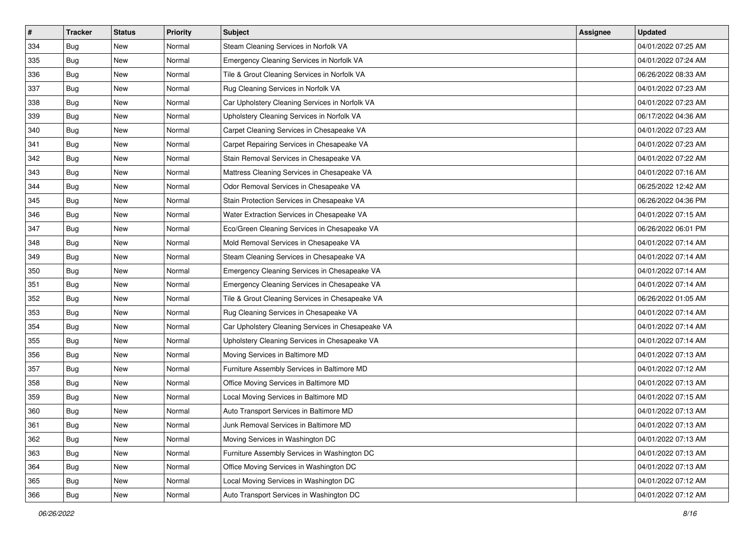| $\sharp$ | <b>Tracker</b> | <b>Status</b> | <b>Priority</b> | <b>Subject</b>                                    | <b>Assignee</b> | <b>Updated</b>      |
|----------|----------------|---------------|-----------------|---------------------------------------------------|-----------------|---------------------|
| 334      | Bug            | New           | Normal          | Steam Cleaning Services in Norfolk VA             |                 | 04/01/2022 07:25 AM |
| 335      | Bug            | New           | Normal          | Emergency Cleaning Services in Norfolk VA         |                 | 04/01/2022 07:24 AM |
| 336      | <b>Bug</b>     | New           | Normal          | Tile & Grout Cleaning Services in Norfolk VA      |                 | 06/26/2022 08:33 AM |
| 337      | <b>Bug</b>     | <b>New</b>    | Normal          | Rug Cleaning Services in Norfolk VA               |                 | 04/01/2022 07:23 AM |
| 338      | <b>Bug</b>     | <b>New</b>    | Normal          | Car Upholstery Cleaning Services in Norfolk VA    |                 | 04/01/2022 07:23 AM |
| 339      | <b>Bug</b>     | New           | Normal          | Upholstery Cleaning Services in Norfolk VA        |                 | 06/17/2022 04:36 AM |
| 340      | <b>Bug</b>     | New           | Normal          | Carpet Cleaning Services in Chesapeake VA         |                 | 04/01/2022 07:23 AM |
| 341      | Bug            | New           | Normal          | Carpet Repairing Services in Chesapeake VA        |                 | 04/01/2022 07:23 AM |
| 342      | <b>Bug</b>     | New           | Normal          | Stain Removal Services in Chesapeake VA           |                 | 04/01/2022 07:22 AM |
| 343      | <b>Bug</b>     | <b>New</b>    | Normal          | Mattress Cleaning Services in Chesapeake VA       |                 | 04/01/2022 07:16 AM |
| 344      | Bug            | New           | Normal          | Odor Removal Services in Chesapeake VA            |                 | 06/25/2022 12:42 AM |
| 345      | Bug            | New           | Normal          | Stain Protection Services in Chesapeake VA        |                 | 06/26/2022 04:36 PM |
| 346      | <b>Bug</b>     | New           | Normal          | Water Extraction Services in Chesapeake VA        |                 | 04/01/2022 07:15 AM |
| 347      | Bug            | New           | Normal          | Eco/Green Cleaning Services in Chesapeake VA      |                 | 06/26/2022 06:01 PM |
| 348      | <b>Bug</b>     | New           | Normal          | Mold Removal Services in Chesapeake VA            |                 | 04/01/2022 07:14 AM |
| 349      | <b>Bug</b>     | New           | Normal          | Steam Cleaning Services in Chesapeake VA          |                 | 04/01/2022 07:14 AM |
| 350      | <b>Bug</b>     | <b>New</b>    | Normal          | Emergency Cleaning Services in Chesapeake VA      |                 | 04/01/2022 07:14 AM |
| 351      | Bug            | New           | Normal          | Emergency Cleaning Services in Chesapeake VA      |                 | 04/01/2022 07:14 AM |
| 352      | Bug            | New           | Normal          | Tile & Grout Cleaning Services in Chesapeake VA   |                 | 06/26/2022 01:05 AM |
| 353      | <b>Bug</b>     | New           | Normal          | Rug Cleaning Services in Chesapeake VA            |                 | 04/01/2022 07:14 AM |
| 354      | Bug            | New           | Normal          | Car Upholstery Cleaning Services in Chesapeake VA |                 | 04/01/2022 07:14 AM |
| 355      | Bug            | <b>New</b>    | Normal          | Upholstery Cleaning Services in Chesapeake VA     |                 | 04/01/2022 07:14 AM |
| 356      | <b>Bug</b>     | <b>New</b>    | Normal          | Moving Services in Baltimore MD                   |                 | 04/01/2022 07:13 AM |
| 357      | <b>Bug</b>     | New           | Normal          | Furniture Assembly Services in Baltimore MD       |                 | 04/01/2022 07:12 AM |
| 358      | <b>Bug</b>     | New           | Normal          | Office Moving Services in Baltimore MD            |                 | 04/01/2022 07:13 AM |
| 359      | <b>Bug</b>     | New           | Normal          | Local Moving Services in Baltimore MD             |                 | 04/01/2022 07:15 AM |
| 360      | Bug            | <b>New</b>    | Normal          | Auto Transport Services in Baltimore MD           |                 | 04/01/2022 07:13 AM |
| 361      | <b>Bug</b>     | New           | Normal          | Junk Removal Services in Baltimore MD             |                 | 04/01/2022 07:13 AM |
| 362      | Bug            | New           | Normal          | Moving Services in Washington DC                  |                 | 04/01/2022 07:13 AM |
| 363      | Bug            | New           | Normal          | Furniture Assembly Services in Washington DC      |                 | 04/01/2022 07:13 AM |
| 364      | Bug            | New           | Normal          | Office Moving Services in Washington DC           |                 | 04/01/2022 07:13 AM |
| 365      | Bug            | New           | Normal          | Local Moving Services in Washington DC            |                 | 04/01/2022 07:12 AM |
| 366      | <b>Bug</b>     | New           | Normal          | Auto Transport Services in Washington DC          |                 | 04/01/2022 07:12 AM |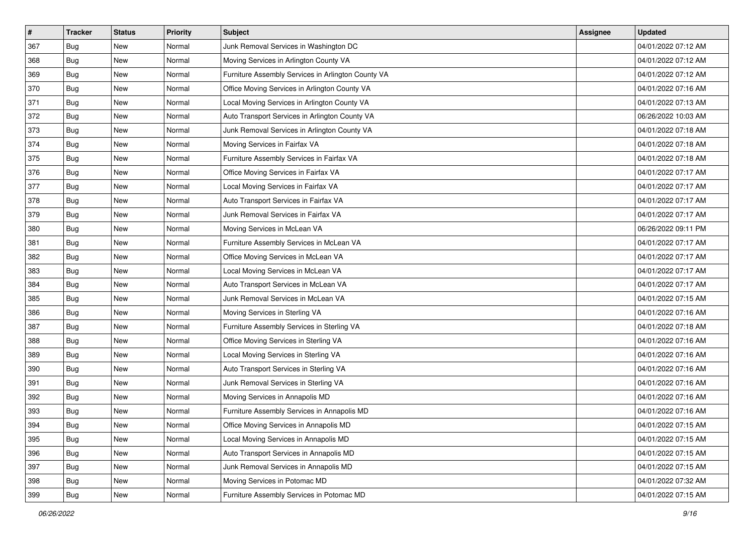| $\pmb{\#}$ | <b>Tracker</b> | <b>Status</b> | <b>Priority</b> | Subject                                            | <b>Assignee</b> | <b>Updated</b>      |
|------------|----------------|---------------|-----------------|----------------------------------------------------|-----------------|---------------------|
| 367        | Bug            | New           | Normal          | Junk Removal Services in Washington DC             |                 | 04/01/2022 07:12 AM |
| 368        | <b>Bug</b>     | New           | Normal          | Moving Services in Arlington County VA             |                 | 04/01/2022 07:12 AM |
| 369        | <b>Bug</b>     | New           | Normal          | Furniture Assembly Services in Arlington County VA |                 | 04/01/2022 07:12 AM |
| 370        | Bug            | New           | Normal          | Office Moving Services in Arlington County VA      |                 | 04/01/2022 07:16 AM |
| 371        | <b>Bug</b>     | <b>New</b>    | Normal          | Local Moving Services in Arlington County VA       |                 | 04/01/2022 07:13 AM |
| 372        | Bug            | New           | Normal          | Auto Transport Services in Arlington County VA     |                 | 06/26/2022 10:03 AM |
| 373        | Bug            | New           | Normal          | Junk Removal Services in Arlington County VA       |                 | 04/01/2022 07:18 AM |
| 374        | Bug            | New           | Normal          | Moving Services in Fairfax VA                      |                 | 04/01/2022 07:18 AM |
| 375        | Bug            | New           | Normal          | Furniture Assembly Services in Fairfax VA          |                 | 04/01/2022 07:18 AM |
| 376        | Bug            | New           | Normal          | Office Moving Services in Fairfax VA               |                 | 04/01/2022 07:17 AM |
| 377        | Bug            | New           | Normal          | Local Moving Services in Fairfax VA                |                 | 04/01/2022 07:17 AM |
| 378        | Bug            | New           | Normal          | Auto Transport Services in Fairfax VA              |                 | 04/01/2022 07:17 AM |
| 379        | Bug            | New           | Normal          | Junk Removal Services in Fairfax VA                |                 | 04/01/2022 07:17 AM |
| 380        | Bug            | New           | Normal          | Moving Services in McLean VA                       |                 | 06/26/2022 09:11 PM |
| 381        | <b>Bug</b>     | New           | Normal          | Furniture Assembly Services in McLean VA           |                 | 04/01/2022 07:17 AM |
| 382        | Bug            | New           | Normal          | Office Moving Services in McLean VA                |                 | 04/01/2022 07:17 AM |
| 383        | Bug            | New           | Normal          | Local Moving Services in McLean VA                 |                 | 04/01/2022 07:17 AM |
| 384        | <b>Bug</b>     | New           | Normal          | Auto Transport Services in McLean VA               |                 | 04/01/2022 07:17 AM |
| 385        | Bug            | New           | Normal          | Junk Removal Services in McLean VA                 |                 | 04/01/2022 07:15 AM |
| 386        | Bug            | New           | Normal          | Moving Services in Sterling VA                     |                 | 04/01/2022 07:16 AM |
| 387        | Bug            | New           | Normal          | Furniture Assembly Services in Sterling VA         |                 | 04/01/2022 07:18 AM |
| 388        | Bug            | New           | Normal          | Office Moving Services in Sterling VA              |                 | 04/01/2022 07:16 AM |
| 389        | Bug            | New           | Normal          | Local Moving Services in Sterling VA               |                 | 04/01/2022 07:16 AM |
| 390        | <b>Bug</b>     | New           | Normal          | Auto Transport Services in Sterling VA             |                 | 04/01/2022 07:16 AM |
| 391        | Bug            | New           | Normal          | Junk Removal Services in Sterling VA               |                 | 04/01/2022 07:16 AM |
| 392        | Bug            | New           | Normal          | Moving Services in Annapolis MD                    |                 | 04/01/2022 07:16 AM |
| 393        | <b>Bug</b>     | New           | Normal          | Furniture Assembly Services in Annapolis MD        |                 | 04/01/2022 07:16 AM |
| 394        | Bug            | New           | Normal          | Office Moving Services in Annapolis MD             |                 | 04/01/2022 07:15 AM |
| 395        | <b>Bug</b>     | New           | Normal          | Local Moving Services in Annapolis MD              |                 | 04/01/2022 07:15 AM |
| 396        | Bug            | New           | Normal          | Auto Transport Services in Annapolis MD            |                 | 04/01/2022 07:15 AM |
| 397        | <b>Bug</b>     | New           | Normal          | Junk Removal Services in Annapolis MD              |                 | 04/01/2022 07:15 AM |
| 398        | Bug            | New           | Normal          | Moving Services in Potomac MD                      |                 | 04/01/2022 07:32 AM |
| 399        | <b>Bug</b>     | New           | Normal          | Furniture Assembly Services in Potomac MD          |                 | 04/01/2022 07:15 AM |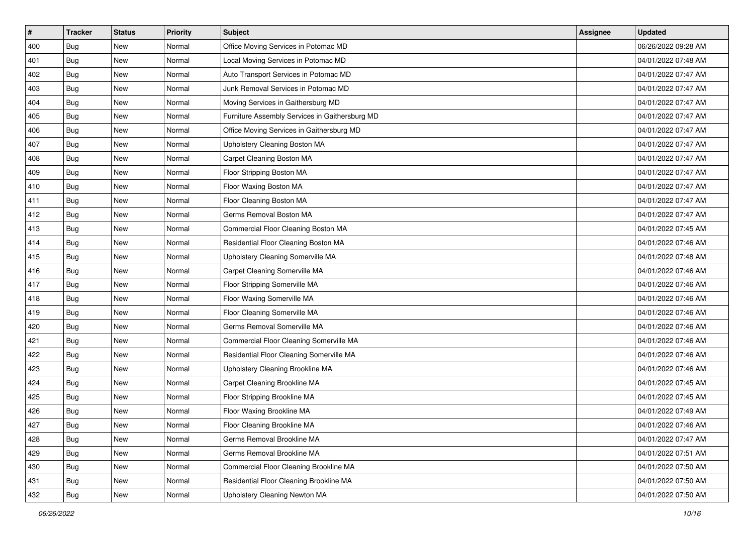| $\sharp$ | <b>Tracker</b> | <b>Status</b> | Priority | <b>Subject</b>                                 | <b>Assignee</b> | <b>Updated</b>      |
|----------|----------------|---------------|----------|------------------------------------------------|-----------------|---------------------|
| 400      | <b>Bug</b>     | New           | Normal   | Office Moving Services in Potomac MD           |                 | 06/26/2022 09:28 AM |
| 401      | <b>Bug</b>     | New           | Normal   | Local Moving Services in Potomac MD            |                 | 04/01/2022 07:48 AM |
| 402      | Bug            | New           | Normal   | Auto Transport Services in Potomac MD          |                 | 04/01/2022 07:47 AM |
| 403      | <b>Bug</b>     | New           | Normal   | Junk Removal Services in Potomac MD            |                 | 04/01/2022 07:47 AM |
| 404      | Bug            | <b>New</b>    | Normal   | Moving Services in Gaithersburg MD             |                 | 04/01/2022 07:47 AM |
| 405      | <b>Bug</b>     | New           | Normal   | Furniture Assembly Services in Gaithersburg MD |                 | 04/01/2022 07:47 AM |
| 406      | <b>Bug</b>     | New           | Normal   | Office Moving Services in Gaithersburg MD      |                 | 04/01/2022 07:47 AM |
| 407      | Bug            | New           | Normal   | Upholstery Cleaning Boston MA                  |                 | 04/01/2022 07:47 AM |
| 408      | <b>Bug</b>     | New           | Normal   | Carpet Cleaning Boston MA                      |                 | 04/01/2022 07:47 AM |
| 409      | <b>Bug</b>     | <b>New</b>    | Normal   | Floor Stripping Boston MA                      |                 | 04/01/2022 07:47 AM |
| 410      | <b>Bug</b>     | New           | Normal   | Floor Waxing Boston MA                         |                 | 04/01/2022 07:47 AM |
| 411      | <b>Bug</b>     | New           | Normal   | Floor Cleaning Boston MA                       |                 | 04/01/2022 07:47 AM |
| 412      | <b>Bug</b>     | New           | Normal   | Germs Removal Boston MA                        |                 | 04/01/2022 07:47 AM |
| 413      | Bug            | <b>New</b>    | Normal   | Commercial Floor Cleaning Boston MA            |                 | 04/01/2022 07:45 AM |
| 414      | <b>Bug</b>     | New           | Normal   | Residential Floor Cleaning Boston MA           |                 | 04/01/2022 07:46 AM |
| 415      | Bug            | New           | Normal   | Upholstery Cleaning Somerville MA              |                 | 04/01/2022 07:48 AM |
| 416      | Bug            | New           | Normal   | Carpet Cleaning Somerville MA                  |                 | 04/01/2022 07:46 AM |
| 417      | <b>Bug</b>     | New           | Normal   | Floor Stripping Somerville MA                  |                 | 04/01/2022 07:46 AM |
| 418      | <b>Bug</b>     | New           | Normal   | Floor Waxing Somerville MA                     |                 | 04/01/2022 07:46 AM |
| 419      | <b>Bug</b>     | New           | Normal   | Floor Cleaning Somerville MA                   |                 | 04/01/2022 07:46 AM |
| 420      | Bug            | New           | Normal   | Germs Removal Somerville MA                    |                 | 04/01/2022 07:46 AM |
| 421      | <b>Bug</b>     | New           | Normal   | Commercial Floor Cleaning Somerville MA        |                 | 04/01/2022 07:46 AM |
| 422      | <b>Bug</b>     | <b>New</b>    | Normal   | Residential Floor Cleaning Somerville MA       |                 | 04/01/2022 07:46 AM |
| 423      | Bug            | New           | Normal   | Upholstery Cleaning Brookline MA               |                 | 04/01/2022 07:46 AM |
| 424      | <b>Bug</b>     | New           | Normal   | Carpet Cleaning Brookline MA                   |                 | 04/01/2022 07:45 AM |
| 425      | Bug            | New           | Normal   | Floor Stripping Brookline MA                   |                 | 04/01/2022 07:45 AM |
| 426      | <b>Bug</b>     | New           | Normal   | Floor Waxing Brookline MA                      |                 | 04/01/2022 07:49 AM |
| 427      | <b>Bug</b>     | New           | Normal   | Floor Cleaning Brookline MA                    |                 | 04/01/2022 07:46 AM |
| 428      | Bug            | New           | Normal   | Germs Removal Brookline MA                     |                 | 04/01/2022 07:47 AM |
| 429      | Bug            | New           | Normal   | Germs Removal Brookline MA                     |                 | 04/01/2022 07:51 AM |
| 430      | Bug            | New           | Normal   | Commercial Floor Cleaning Brookline MA         |                 | 04/01/2022 07:50 AM |
| 431      | Bug            | New           | Normal   | Residential Floor Cleaning Brookline MA        |                 | 04/01/2022 07:50 AM |
| 432      | <b>Bug</b>     | New           | Normal   | Upholstery Cleaning Newton MA                  |                 | 04/01/2022 07:50 AM |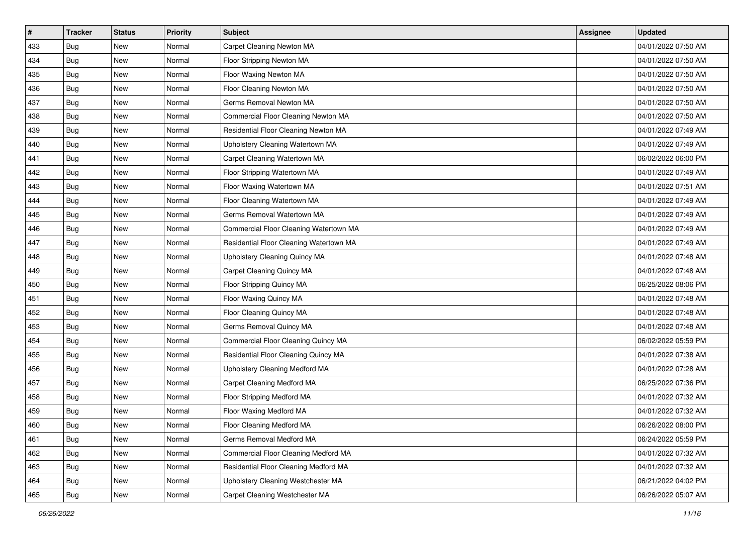| $\sharp$ | <b>Tracker</b> | <b>Status</b> | <b>Priority</b> | <b>Subject</b>                          | <b>Assignee</b> | <b>Updated</b>      |
|----------|----------------|---------------|-----------------|-----------------------------------------|-----------------|---------------------|
| 433      | <b>Bug</b>     | New           | Normal          | Carpet Cleaning Newton MA               |                 | 04/01/2022 07:50 AM |
| 434      | Bug            | <b>New</b>    | Normal          | Floor Stripping Newton MA               |                 | 04/01/2022 07:50 AM |
| 435      | Bug            | New           | Normal          | Floor Waxing Newton MA                  |                 | 04/01/2022 07:50 AM |
| 436      | <b>Bug</b>     | <b>New</b>    | Normal          | Floor Cleaning Newton MA                |                 | 04/01/2022 07:50 AM |
| 437      | <b>Bug</b>     | <b>New</b>    | Normal          | Germs Removal Newton MA                 |                 | 04/01/2022 07:50 AM |
| 438      | <b>Bug</b>     | New           | Normal          | Commercial Floor Cleaning Newton MA     |                 | 04/01/2022 07:50 AM |
| 439      | <b>Bug</b>     | <b>New</b>    | Normal          | Residential Floor Cleaning Newton MA    |                 | 04/01/2022 07:49 AM |
| 440      | Bug            | New           | Normal          | Upholstery Cleaning Watertown MA        |                 | 04/01/2022 07:49 AM |
| 441      | <b>Bug</b>     | New           | Normal          | Carpet Cleaning Watertown MA            |                 | 06/02/2022 06:00 PM |
| 442      | <b>Bug</b>     | <b>New</b>    | Normal          | Floor Stripping Watertown MA            |                 | 04/01/2022 07:49 AM |
| 443      | Bug            | New           | Normal          | Floor Waxing Watertown MA               |                 | 04/01/2022 07:51 AM |
| 444      | <b>Bug</b>     | New           | Normal          | Floor Cleaning Watertown MA             |                 | 04/01/2022 07:49 AM |
| 445      | <b>Bug</b>     | <b>New</b>    | Normal          | Germs Removal Watertown MA              |                 | 04/01/2022 07:49 AM |
| 446      | Bug            | New           | Normal          | Commercial Floor Cleaning Watertown MA  |                 | 04/01/2022 07:49 AM |
| 447      | <b>Bug</b>     | <b>New</b>    | Normal          | Residential Floor Cleaning Watertown MA |                 | 04/01/2022 07:49 AM |
| 448      | Bug            | New           | Normal          | Upholstery Cleaning Quincy MA           |                 | 04/01/2022 07:48 AM |
| 449      | <b>Bug</b>     | <b>New</b>    | Normal          | Carpet Cleaning Quincy MA               |                 | 04/01/2022 07:48 AM |
| 450      | Bug            | <b>New</b>    | Normal          | Floor Stripping Quincy MA               |                 | 06/25/2022 08:06 PM |
| 451      | <b>Bug</b>     | New           | Normal          | Floor Waxing Quincy MA                  |                 | 04/01/2022 07:48 AM |
| 452      | <b>Bug</b>     | <b>New</b>    | Normal          | Floor Cleaning Quincy MA                |                 | 04/01/2022 07:48 AM |
| 453      | Bug            | New           | Normal          | Germs Removal Quincy MA                 |                 | 04/01/2022 07:48 AM |
| 454      | <b>Bug</b>     | <b>New</b>    | Normal          | Commercial Floor Cleaning Quincy MA     |                 | 06/02/2022 05:59 PM |
| 455      | <b>Bug</b>     | <b>New</b>    | Normal          | Residential Floor Cleaning Quincy MA    |                 | 04/01/2022 07:38 AM |
| 456      | <b>Bug</b>     | New           | Normal          | Upholstery Cleaning Medford MA          |                 | 04/01/2022 07:28 AM |
| 457      | <b>Bug</b>     | New           | Normal          | Carpet Cleaning Medford MA              |                 | 06/25/2022 07:36 PM |
| 458      | <b>Bug</b>     | <b>New</b>    | Normal          | Floor Stripping Medford MA              |                 | 04/01/2022 07:32 AM |
| 459      | <b>Bug</b>     | New           | Normal          | Floor Waxing Medford MA                 |                 | 04/01/2022 07:32 AM |
| 460      | <b>Bug</b>     | New           | Normal          | Floor Cleaning Medford MA               |                 | 06/26/2022 08:00 PM |
| 461      | Bug            | New           | Normal          | Germs Removal Medford MA                |                 | 06/24/2022 05:59 PM |
| 462      | Bug            | New           | Normal          | Commercial Floor Cleaning Medford MA    |                 | 04/01/2022 07:32 AM |
| 463      | Bug            | New           | Normal          | Residential Floor Cleaning Medford MA   |                 | 04/01/2022 07:32 AM |
| 464      | <b>Bug</b>     | New           | Normal          | Upholstery Cleaning Westchester MA      |                 | 06/21/2022 04:02 PM |
| 465      | <b>Bug</b>     | New           | Normal          | Carpet Cleaning Westchester MA          |                 | 06/26/2022 05:07 AM |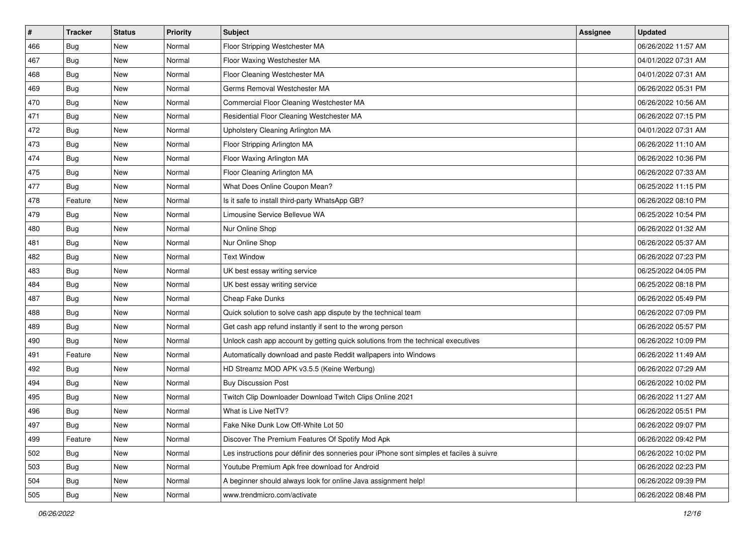| #   | <b>Tracker</b> | <b>Status</b> | <b>Priority</b> | Subject                                                                                  | <b>Assignee</b> | <b>Updated</b>      |
|-----|----------------|---------------|-----------------|------------------------------------------------------------------------------------------|-----------------|---------------------|
| 466 | <b>Bug</b>     | New           | Normal          | Floor Stripping Westchester MA                                                           |                 | 06/26/2022 11:57 AM |
| 467 | Bug            | New           | Normal          | Floor Waxing Westchester MA                                                              |                 | 04/01/2022 07:31 AM |
| 468 | Bug            | New           | Normal          | Floor Cleaning Westchester MA                                                            |                 | 04/01/2022 07:31 AM |
| 469 | <b>Bug</b>     | New           | Normal          | Germs Removal Westchester MA                                                             |                 | 06/26/2022 05:31 PM |
| 470 | <b>Bug</b>     | New           | Normal          | Commercial Floor Cleaning Westchester MA                                                 |                 | 06/26/2022 10:56 AM |
| 471 | <b>Bug</b>     | New           | Normal          | Residential Floor Cleaning Westchester MA                                                |                 | 06/26/2022 07:15 PM |
| 472 | <b>Bug</b>     | New           | Normal          | Upholstery Cleaning Arlington MA                                                         |                 | 04/01/2022 07:31 AM |
| 473 | Bug            | New           | Normal          | Floor Stripping Arlington MA                                                             |                 | 06/26/2022 11:10 AM |
| 474 | <b>Bug</b>     | New           | Normal          | Floor Waxing Arlington MA                                                                |                 | 06/26/2022 10:36 PM |
| 475 | <b>Bug</b>     | New           | Normal          | Floor Cleaning Arlington MA                                                              |                 | 06/26/2022 07:33 AM |
| 477 | <b>Bug</b>     | New           | Normal          | What Does Online Coupon Mean?                                                            |                 | 06/25/2022 11:15 PM |
| 478 | Feature        | New           | Normal          | Is it safe to install third-party WhatsApp GB?                                           |                 | 06/26/2022 08:10 PM |
| 479 | Bug            | New           | Normal          | Limousine Service Bellevue WA                                                            |                 | 06/25/2022 10:54 PM |
| 480 | <b>Bug</b>     | New           | Normal          | Nur Online Shop                                                                          |                 | 06/26/2022 01:32 AM |
| 481 | <b>Bug</b>     | New           | Normal          | Nur Online Shop                                                                          |                 | 06/26/2022 05:37 AM |
| 482 | <b>Bug</b>     | New           | Normal          | <b>Text Window</b>                                                                       |                 | 06/26/2022 07:23 PM |
| 483 | <b>Bug</b>     | New           | Normal          | UK best essay writing service                                                            |                 | 06/25/2022 04:05 PM |
| 484 | <b>Bug</b>     | New           | Normal          | UK best essay writing service                                                            |                 | 06/25/2022 08:18 PM |
| 487 | <b>Bug</b>     | New           | Normal          | Cheap Fake Dunks                                                                         |                 | 06/26/2022 05:49 PM |
| 488 | <b>Bug</b>     | New           | Normal          | Quick solution to solve cash app dispute by the technical team                           |                 | 06/26/2022 07:09 PM |
| 489 | Bug            | New           | Normal          | Get cash app refund instantly if sent to the wrong person                                |                 | 06/26/2022 05:57 PM |
| 490 | <b>Bug</b>     | New           | Normal          | Unlock cash app account by getting quick solutions from the technical executives         |                 | 06/26/2022 10:09 PM |
| 491 | Feature        | <b>New</b>    | Normal          | Automatically download and paste Reddit wallpapers into Windows                          |                 | 06/26/2022 11:49 AM |
| 492 | <b>Bug</b>     | New           | Normal          | HD Streamz MOD APK v3.5.5 (Keine Werbung)                                                |                 | 06/26/2022 07:29 AM |
| 494 | <b>Bug</b>     | New           | Normal          | <b>Buy Discussion Post</b>                                                               |                 | 06/26/2022 10:02 PM |
| 495 | Bug            | New           | Normal          | Twitch Clip Downloader Download Twitch Clips Online 2021                                 |                 | 06/26/2022 11:27 AM |
| 496 | Bug            | <b>New</b>    | Normal          | What is Live NetTV?                                                                      |                 | 06/26/2022 05:51 PM |
| 497 | <b>Bug</b>     | New           | Normal          | Fake Nike Dunk Low Off-White Lot 50                                                      |                 | 06/26/2022 09:07 PM |
| 499 | Feature        | New           | Normal          | Discover The Premium Features Of Spotify Mod Apk                                         |                 | 06/26/2022 09:42 PM |
| 502 | Bug            | New           | Normal          | Les instructions pour définir des sonneries pour iPhone sont simples et faciles à suivre |                 | 06/26/2022 10:02 PM |
| 503 | Bug            | New           | Normal          | Youtube Premium Apk free download for Android                                            |                 | 06/26/2022 02:23 PM |
| 504 | Bug            | New           | Normal          | A beginner should always look for online Java assignment help!                           |                 | 06/26/2022 09:39 PM |
| 505 | <b>Bug</b>     | New           | Normal          | www.trendmicro.com/activate                                                              |                 | 06/26/2022 08:48 PM |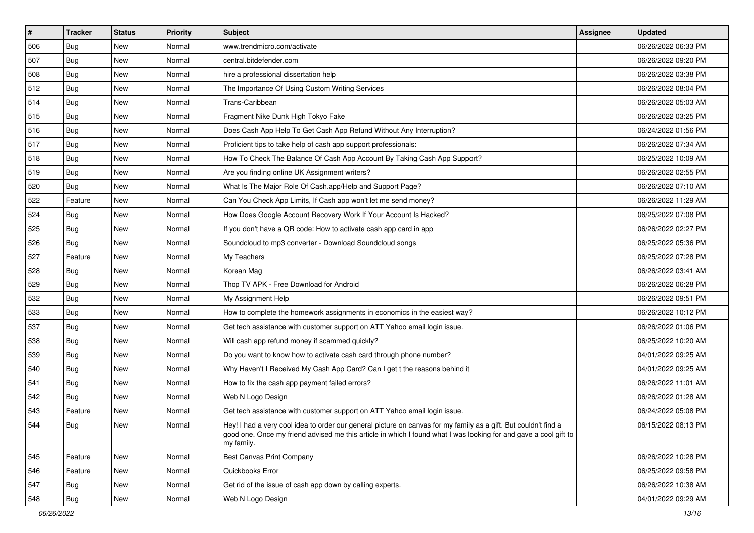| $\sharp$ | <b>Tracker</b> | <b>Status</b> | <b>Priority</b> | <b>Subject</b>                                                                                                                                                                                                                                    | <b>Assignee</b> | <b>Updated</b>      |
|----------|----------------|---------------|-----------------|---------------------------------------------------------------------------------------------------------------------------------------------------------------------------------------------------------------------------------------------------|-----------------|---------------------|
| 506      | Bug            | New           | Normal          | www.trendmicro.com/activate                                                                                                                                                                                                                       |                 | 06/26/2022 06:33 PM |
| 507      | <b>Bug</b>     | <b>New</b>    | Normal          | central.bitdefender.com                                                                                                                                                                                                                           |                 | 06/26/2022 09:20 PM |
| 508      | Bug            | New           | Normal          | hire a professional dissertation help                                                                                                                                                                                                             |                 | 06/26/2022 03:38 PM |
| 512      | Bug            | New           | Normal          | The Importance Of Using Custom Writing Services                                                                                                                                                                                                   |                 | 06/26/2022 08:04 PM |
| 514      | Bug            | New           | Normal          | Trans-Caribbean                                                                                                                                                                                                                                   |                 | 06/26/2022 05:03 AM |
| 515      | Bug            | New           | Normal          | Fragment Nike Dunk High Tokyo Fake                                                                                                                                                                                                                |                 | 06/26/2022 03:25 PM |
| 516      | Bug            | <b>New</b>    | Normal          | Does Cash App Help To Get Cash App Refund Without Any Interruption?                                                                                                                                                                               |                 | 06/24/2022 01:56 PM |
| 517      | Bug            | New           | Normal          | Proficient tips to take help of cash app support professionals:                                                                                                                                                                                   |                 | 06/26/2022 07:34 AM |
| 518      | Bug            | New           | Normal          | How To Check The Balance Of Cash App Account By Taking Cash App Support?                                                                                                                                                                          |                 | 06/25/2022 10:09 AM |
| 519      | Bug            | New           | Normal          | Are you finding online UK Assignment writers?                                                                                                                                                                                                     |                 | 06/26/2022 02:55 PM |
| 520      | <b>Bug</b>     | New           | Normal          | What Is The Major Role Of Cash.app/Help and Support Page?                                                                                                                                                                                         |                 | 06/26/2022 07:10 AM |
| 522      | Feature        | New           | Normal          | Can You Check App Limits, If Cash app won't let me send money?                                                                                                                                                                                    |                 | 06/26/2022 11:29 AM |
| 524      | Bug            | New           | Normal          | How Does Google Account Recovery Work If Your Account Is Hacked?                                                                                                                                                                                  |                 | 06/25/2022 07:08 PM |
| 525      | Bug            | New           | Normal          | If you don't have a QR code: How to activate cash app card in app                                                                                                                                                                                 |                 | 06/26/2022 02:27 PM |
| 526      | <b>Bug</b>     | New           | Normal          | Soundcloud to mp3 converter - Download Soundcloud songs                                                                                                                                                                                           |                 | 06/25/2022 05:36 PM |
| 527      | Feature        | New           | Normal          | My Teachers                                                                                                                                                                                                                                       |                 | 06/25/2022 07:28 PM |
| 528      | Bug            | New           | Normal          | Korean Mag                                                                                                                                                                                                                                        |                 | 06/26/2022 03:41 AM |
| 529      | <b>Bug</b>     | New           | Normal          | Thop TV APK - Free Download for Android                                                                                                                                                                                                           |                 | 06/26/2022 06:28 PM |
| 532      | Bug            | New           | Normal          | My Assignment Help                                                                                                                                                                                                                                |                 | 06/26/2022 09:51 PM |
| 533      | Bug            | <b>New</b>    | Normal          | How to complete the homework assignments in economics in the easiest way?                                                                                                                                                                         |                 | 06/26/2022 10:12 PM |
| 537      | Bug            | New           | Normal          | Get tech assistance with customer support on ATT Yahoo email login issue.                                                                                                                                                                         |                 | 06/26/2022 01:06 PM |
| 538      | Bug            | New           | Normal          | Will cash app refund money if scammed quickly?                                                                                                                                                                                                    |                 | 06/25/2022 10:20 AM |
| 539      | Bug            | New           | Normal          | Do you want to know how to activate cash card through phone number?                                                                                                                                                                               |                 | 04/01/2022 09:25 AM |
| 540      | <b>Bug</b>     | New           | Normal          | Why Haven't I Received My Cash App Card? Can I get t the reasons behind it                                                                                                                                                                        |                 | 04/01/2022 09:25 AM |
| 541      | Bug            | New           | Normal          | How to fix the cash app payment failed errors?                                                                                                                                                                                                    |                 | 06/26/2022 11:01 AM |
| 542      | Bug            | New           | Normal          | Web N Logo Design                                                                                                                                                                                                                                 |                 | 06/26/2022 01:28 AM |
| 543      | Feature        | New           | Normal          | Get tech assistance with customer support on ATT Yahoo email login issue.                                                                                                                                                                         |                 | 06/24/2022 05:08 PM |
| 544      | <b>Bug</b>     | New           | Normal          | Hey! I had a very cool idea to order our general picture on canvas for my family as a gift. But couldn't find a<br>good one. Once my friend advised me this article in which I found what I was looking for and gave a cool gift to<br>my family. |                 | 06/15/2022 08:13 PM |
| 545      | Feature        | New           | Normal          | Best Canvas Print Company                                                                                                                                                                                                                         |                 | 06/26/2022 10:28 PM |
| 546      | Feature        | New           | Normal          | Quickbooks Error                                                                                                                                                                                                                                  |                 | 06/25/2022 09:58 PM |
| 547      | <b>Bug</b>     | New           | Normal          | Get rid of the issue of cash app down by calling experts.                                                                                                                                                                                         |                 | 06/26/2022 10:38 AM |
| 548      | <b>Bug</b>     | New           | Normal          | Web N Logo Design                                                                                                                                                                                                                                 |                 | 04/01/2022 09:29 AM |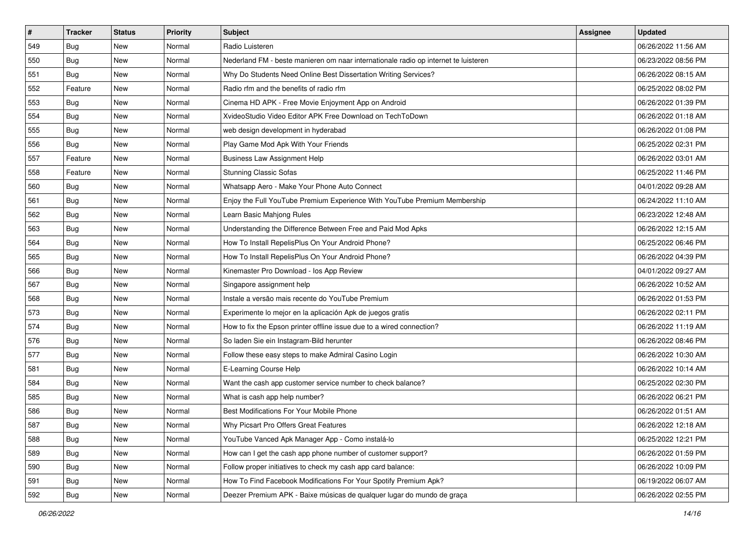| $\sharp$ | <b>Tracker</b> | <b>Status</b> | <b>Priority</b> | Subject                                                                             | <b>Assignee</b> | <b>Updated</b>      |
|----------|----------------|---------------|-----------------|-------------------------------------------------------------------------------------|-----------------|---------------------|
| 549      | Bug            | New           | Normal          | Radio Luisteren                                                                     |                 | 06/26/2022 11:56 AM |
| 550      | <b>Bug</b>     | New           | Normal          | Nederland FM - beste manieren om naar internationale radio op internet te luisteren |                 | 06/23/2022 08:56 PM |
| 551      | <b>Bug</b>     | New           | Normal          | Why Do Students Need Online Best Dissertation Writing Services?                     |                 | 06/26/2022 08:15 AM |
| 552      | Feature        | New           | Normal          | Radio rfm and the benefits of radio rfm                                             |                 | 06/25/2022 08:02 PM |
| 553      | Bug            | New           | Normal          | Cinema HD APK - Free Movie Enjoyment App on Android                                 |                 | 06/26/2022 01:39 PM |
| 554      | <b>Bug</b>     | New           | Normal          | XvideoStudio Video Editor APK Free Download on TechToDown                           |                 | 06/26/2022 01:18 AM |
| 555      | Bug            | New           | Normal          | web design development in hyderabad                                                 |                 | 06/26/2022 01:08 PM |
| 556      | <b>Bug</b>     | New           | Normal          | Play Game Mod Apk With Your Friends                                                 |                 | 06/25/2022 02:31 PM |
| 557      | Feature        | New           | Normal          | <b>Business Law Assignment Help</b>                                                 |                 | 06/26/2022 03:01 AM |
| 558      | Feature        | <b>New</b>    | Normal          | <b>Stunning Classic Sofas</b>                                                       |                 | 06/25/2022 11:46 PM |
| 560      | Bug            | New           | Normal          | Whatsapp Aero - Make Your Phone Auto Connect                                        |                 | 04/01/2022 09:28 AM |
| 561      | Bug            | New           | Normal          | Enjoy the Full YouTube Premium Experience With YouTube Premium Membership           |                 | 06/24/2022 11:10 AM |
| 562      | <b>Bug</b>     | New           | Normal          | Learn Basic Mahjong Rules                                                           |                 | 06/23/2022 12:48 AM |
| 563      | <b>Bug</b>     | New           | Normal          | Understanding the Difference Between Free and Paid Mod Apks                         |                 | 06/26/2022 12:15 AM |
| 564      | <b>Bug</b>     | New           | Normal          | How To Install RepelisPlus On Your Android Phone?                                   |                 | 06/25/2022 06:46 PM |
| 565      | Bug            | New           | Normal          | How To Install RepelisPlus On Your Android Phone?                                   |                 | 06/26/2022 04:39 PM |
| 566      | <b>Bug</b>     | New           | Normal          | Kinemaster Pro Download - los App Review                                            |                 | 04/01/2022 09:27 AM |
| 567      | <b>Bug</b>     | New           | Normal          | Singapore assignment help                                                           |                 | 06/26/2022 10:52 AM |
| 568      | <b>Bug</b>     | New           | Normal          | Instale a versão mais recente do YouTube Premium                                    |                 | 06/26/2022 01:53 PM |
| 573      | <b>Bug</b>     | New           | Normal          | Experimente lo mejor en la aplicación Apk de juegos gratis                          |                 | 06/26/2022 02:11 PM |
| 574      | <b>Bug</b>     | New           | Normal          | How to fix the Epson printer offline issue due to a wired connection?               |                 | 06/26/2022 11:19 AM |
| 576      | Bug            | New           | Normal          | So laden Sie ein Instagram-Bild herunter                                            |                 | 06/26/2022 08:46 PM |
| 577      | Bug            | New           | Normal          | Follow these easy steps to make Admiral Casino Login                                |                 | 06/26/2022 10:30 AM |
| 581      | <b>Bug</b>     | New           | Normal          | E-Learning Course Help                                                              |                 | 06/26/2022 10:14 AM |
| 584      | Bug            | New           | Normal          | Want the cash app customer service number to check balance?                         |                 | 06/25/2022 02:30 PM |
| 585      | <b>Bug</b>     | New           | Normal          | What is cash app help number?                                                       |                 | 06/26/2022 06:21 PM |
| 586      | Bug            | New           | Normal          | Best Modifications For Your Mobile Phone                                            |                 | 06/26/2022 01:51 AM |
| 587      | <b>Bug</b>     | New           | Normal          | Why Picsart Pro Offers Great Features                                               |                 | 06/26/2022 12:18 AM |
| 588      | Bug            | New           | Normal          | YouTube Vanced Apk Manager App - Como instalá-lo                                    |                 | 06/25/2022 12:21 PM |
| 589      | Bug            | New           | Normal          | How can I get the cash app phone number of customer support?                        |                 | 06/26/2022 01:59 PM |
| 590      | <b>Bug</b>     | New           | Normal          | Follow proper initiatives to check my cash app card balance:                        |                 | 06/26/2022 10:09 PM |
| 591      | Bug            | New           | Normal          | How To Find Facebook Modifications For Your Spotify Premium Apk?                    |                 | 06/19/2022 06:07 AM |
| 592      | <b>Bug</b>     | New           | Normal          | Deezer Premium APK - Baixe músicas de qualquer lugar do mundo de graça              |                 | 06/26/2022 02:55 PM |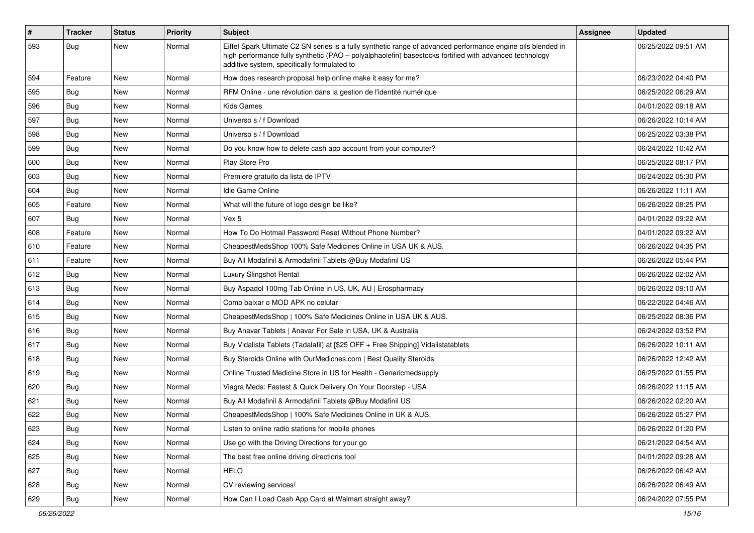| $\#$ | <b>Tracker</b> | <b>Status</b> | <b>Priority</b> | Subject                                                                                                                                                                                                                                                               | Assignee | <b>Updated</b>      |
|------|----------------|---------------|-----------------|-----------------------------------------------------------------------------------------------------------------------------------------------------------------------------------------------------------------------------------------------------------------------|----------|---------------------|
| 593  | Bug            | New           | Normal          | Eiffel Spark Ultimate C2 SN series is a fully synthetic range of advanced performance engine oils blended in<br>high performance fully synthetic (PAO - polyalphaolefin) basestocks fortified with advanced technology<br>additive system, specifically formulated to |          | 06/25/2022 09:51 AM |
| 594  | Feature        | <b>New</b>    | Normal          | How does research proposal help online make it easy for me?                                                                                                                                                                                                           |          | 06/23/2022 04:40 PM |
| 595  | <b>Bug</b>     | <b>New</b>    | Normal          | RFM Online - une révolution dans la gestion de l'identité numérique                                                                                                                                                                                                   |          | 06/25/2022 06:29 AM |
| 596  | Bug            | New           | Normal          | <b>Kids Games</b>                                                                                                                                                                                                                                                     |          | 04/01/2022 09:18 AM |
| 597  | <b>Bug</b>     | New           | Normal          | Universo s / f Download                                                                                                                                                                                                                                               |          | 06/26/2022 10:14 AM |
| 598  | <b>Bug</b>     | <b>New</b>    | Normal          | Universo s / f Download                                                                                                                                                                                                                                               |          | 06/25/2022 03:38 PM |
| 599  | <b>Bug</b>     | New           | Normal          | Do you know how to delete cash app account from your computer?                                                                                                                                                                                                        |          | 06/24/2022 10:42 AM |
| 600  | Bug            | <b>New</b>    | Normal          | Play Store Pro                                                                                                                                                                                                                                                        |          | 06/25/2022 08:17 PM |
| 603  | <b>Bug</b>     | New           | Normal          | Premiere gratuito da lista de IPTV                                                                                                                                                                                                                                    |          | 06/24/2022 05:30 PM |
| 604  | <b>Bug</b>     | New           | Normal          | Idle Game Online                                                                                                                                                                                                                                                      |          | 06/26/2022 11:11 AM |
| 605  | Feature        | New           | Normal          | What will the future of logo design be like?                                                                                                                                                                                                                          |          | 06/26/2022 08:25 PM |
| 607  | <b>Bug</b>     | New           | Normal          | Vex 5                                                                                                                                                                                                                                                                 |          | 04/01/2022 09:22 AM |
| 608  | Feature        | New           | Normal          | How To Do Hotmail Password Reset Without Phone Number?                                                                                                                                                                                                                |          | 04/01/2022 09:22 AM |
| 610  | Feature        | New           | Normal          | CheapestMedsShop 100% Safe Medicines Online in USA UK & AUS.                                                                                                                                                                                                          |          | 06/26/2022 04:35 PM |
| 611  | Feature        | <b>New</b>    | Normal          | Buy All Modafinil & Armodafinil Tablets @Buy Modafinil US                                                                                                                                                                                                             |          | 06/26/2022 05:44 PM |
| 612  | <b>Bug</b>     | <b>New</b>    | Normal          | Luxury Slingshot Rental                                                                                                                                                                                                                                               |          | 06/26/2022 02:02 AM |
| 613  | <b>Bug</b>     | <b>New</b>    | Normal          | Buy Aspadol 100mg Tab Online in US, UK, AU   Erospharmacy                                                                                                                                                                                                             |          | 06/26/2022 09:10 AM |
| 614  | <b>Bug</b>     | New           | Normal          | Como baixar o MOD APK no celular                                                                                                                                                                                                                                      |          | 06/22/2022 04:46 AM |
| 615  | <b>Bug</b>     | <b>New</b>    | Normal          | CheapestMedsShop   100% Safe Medicines Online in USA UK & AUS.                                                                                                                                                                                                        |          | 06/25/2022 08:36 PM |
| 616  | <b>Bug</b>     | <b>New</b>    | Normal          | Buy Anavar Tablets   Anavar For Sale in USA, UK & Australia                                                                                                                                                                                                           |          | 06/24/2022 03:52 PM |
| 617  | <b>Bug</b>     | <b>New</b>    | Normal          | Buy Vidalista Tablets (Tadalafil) at [\$25 OFF + Free Shipping] Vidalistatablets                                                                                                                                                                                      |          | 06/26/2022 10:11 AM |
| 618  | Bug            | New           | Normal          | Buy Steroids Online with OurMedicnes.com   Best Quality Steroids                                                                                                                                                                                                      |          | 06/26/2022 12:42 AM |
| 619  | <b>Bug</b>     | New           | Normal          | Online Trusted Medicine Store in US for Health - Genericmedsupply                                                                                                                                                                                                     |          | 06/25/2022 01:55 PM |
| 620  | <b>Bug</b>     | <b>New</b>    | Normal          | Viagra Meds: Fastest & Quick Delivery On Your Doorstep - USA                                                                                                                                                                                                          |          | 06/26/2022 11:15 AM |
| 621  | <b>Bug</b>     | New           | Normal          | Buy All Modafinil & Armodafinil Tablets @Buy Modafinil US                                                                                                                                                                                                             |          | 06/26/2022 02:20 AM |
| 622  | <b>Bug</b>     | <b>New</b>    | Normal          | CheapestMedsShop   100% Safe Medicines Online in UK & AUS.                                                                                                                                                                                                            |          | 06/26/2022 05:27 PM |
| 623  | Bug            | New           | Normal          | Listen to online radio stations for mobile phones                                                                                                                                                                                                                     |          | 06/26/2022 01:20 PM |
| 624  | Bug            | New           | Normal          | Use go with the Driving Directions for your go                                                                                                                                                                                                                        |          | 06/21/2022 04:54 AM |
| 625  | Bug            | New           | Normal          | The best free online driving directions tool                                                                                                                                                                                                                          |          | 04/01/2022 09:28 AM |
| 627  | Bug            | New           | Normal          | <b>HELO</b>                                                                                                                                                                                                                                                           |          | 06/26/2022 06:42 AM |
| 628  | Bug            | New           | Normal          | CV reviewing services!                                                                                                                                                                                                                                                |          | 06/26/2022 06:49 AM |
| 629  | <b>Bug</b>     | New           | Normal          | How Can I Load Cash App Card at Walmart straight away?                                                                                                                                                                                                                |          | 06/24/2022 07:55 PM |